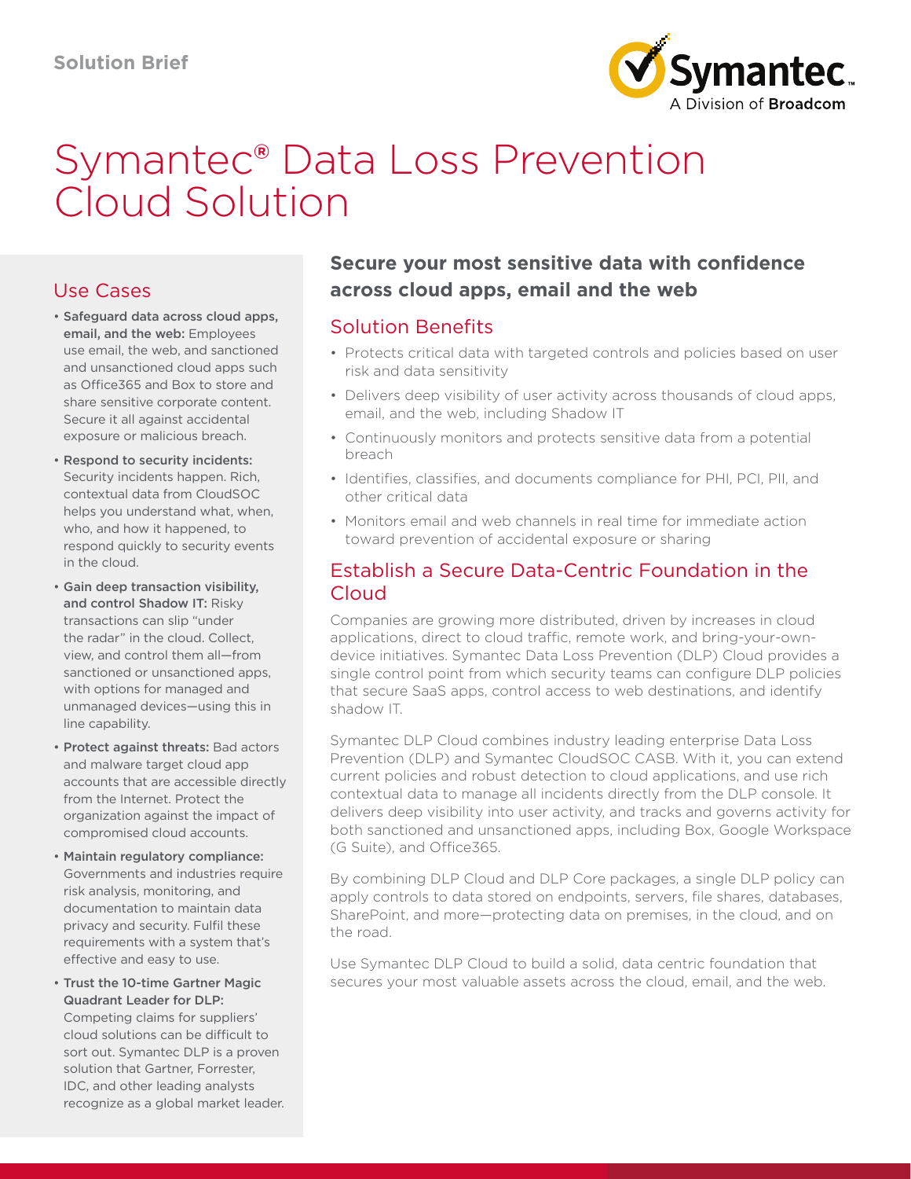

# Symantec® Data Loss Prevention Cloud Solution

## Use Cases

- Safeguard data across cloud apps, email, and the web: Employees use email, the web, and sanctioned and unsanctioned cloud apps such as Office365 and Box to store and share sensitive corporate content. Secure it all against accidental exposure or malicious breach.
- Respond to security incidents: Security incidents happen. Rich, contextual data from CloudSOC helps you understand what, when, who, and how it happened, to respond quickly to security events in the cloud.
- Gain deep transaction visibility, and control Shadow IT: Risky transactions can slip "under the radar" in the cloud. Collect, view, and control them all—from sanctioned or unsanctioned apps, with options for managed and unmanaged devices—using this in line capability.
- Protect against threats: Bad actors and malware target cloud app accounts that are accessible directly from the Internet. Protect the organization against the impact of compromised cloud accounts.
- Maintain regulatory compliance: Governments and industries require risk analysis, monitoring, and documentation to maintain data privacy and security. Fulfil these requirements with a system that's effective and easy to use.
- Trust the 10-time Gartner Magic Quadrant Leader for DLP: Competing claims for suppliers'

cloud solutions can be difficult to sort out. Symantec DLP is a proven solution that Gartner, Forrester, IDC, and other leading analysts recognize as a global market leader.

# **Secure your most sensitive data with confidence across cloud apps, email and the web**

## Solution Benefits

- Protects critical data with targeted controls and policies based on user risk and data sensitivity
- Delivers deep visibility of user activity across thousands of cloud apps, email, and the web, including Shadow IT
- Continuously monitors and protects sensitive data from a potential breach
- Identifies, classifies, and documents compliance for PHI, PCI, PII, and other critical data
- Monitors email and web channels in real time for immediate action toward prevention of accidental exposure or sharing

## Establish a Secure Data-Centric Foundation in the Cloud

Companies are growing more distributed, driven by increases in cloud applications, direct to cloud traffic, remote work, and bring-your-owndevice initiatives. Symantec Data Loss Prevention (DLP) Cloud provides a single control point from which security teams can configure DLP policies that secure SaaS apps, control access to web destinations, and identify shadow IT.

Symantec DLP Cloud combines industry leading enterprise Data Loss Prevention (DLP) and Symantec CloudSOC CASB. With it, you can extend current policies and robust detection to cloud applications, and use rich contextual data to manage all incidents directly from the DLP console. It delivers deep visibility into user activity, and tracks and governs activity for both sanctioned and unsanctioned apps, including Box, Google Workspace (G Suite), and Office365.

By combining DLP Cloud and DLP Core packages, a single DLP policy can apply controls to data stored on endpoints, servers, file shares, databases, SharePoint, and more—protecting data on premises, in the cloud, and on the road.

Use Symantec DLP Cloud to build a solid, data centric foundation that secures your most valuable assets across the cloud, email, and the web.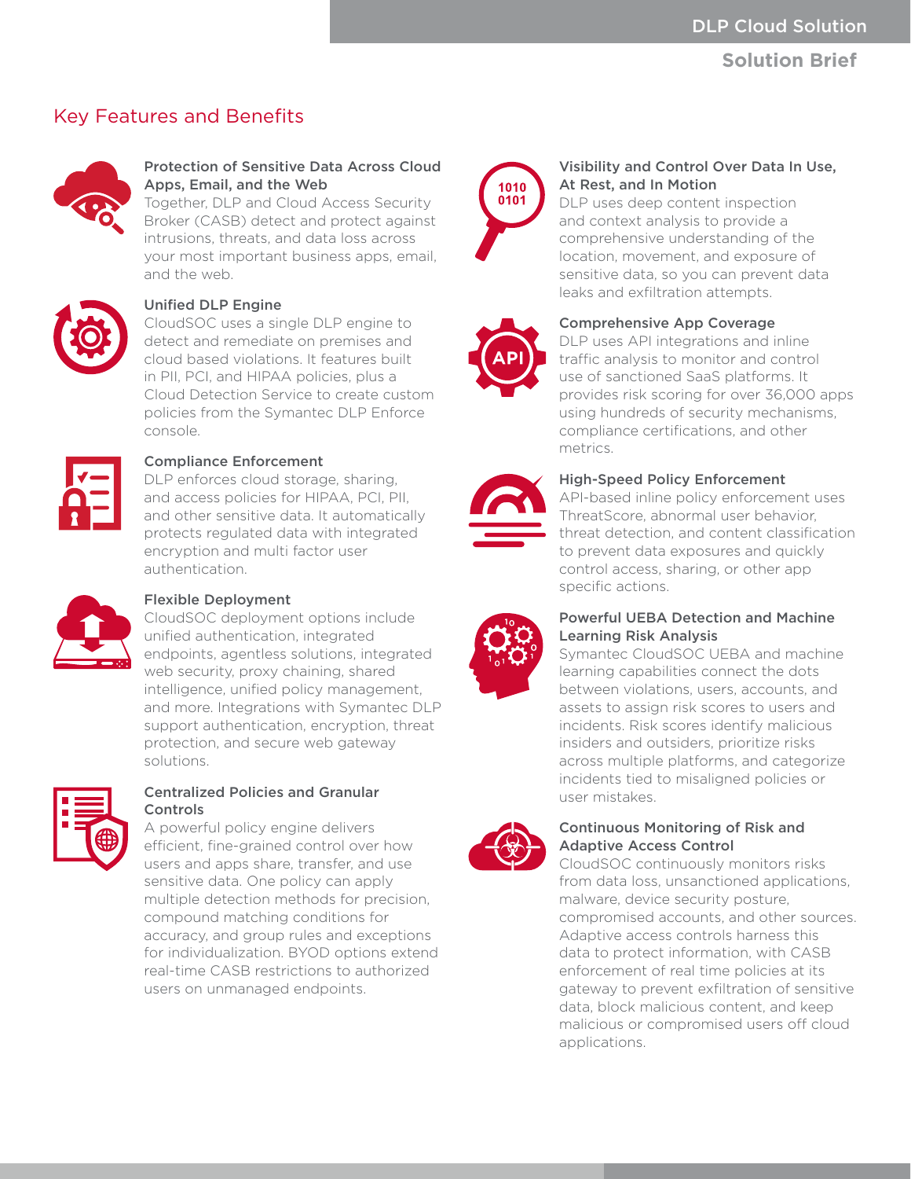## **Solution Brief**

# Key Features and Benefits



## Protection of Sensitive Data Across Cloud Apps, Email, and the Web

Together, DLP and Cloud Access Security Broker (CASB) detect and protect against intrusions, threats, and data loss across your most important business apps, email, and the web.



#### Unified DLP Engine

CloudSOC uses a single DLP engine to detect and remediate on premises and cloud based violations. It features built in PII, PCI, and HIPAA policies, plus a Cloud Detection Service to create custom policies from the Symantec DLP Enforce console.



## Compliance Enforcement

DLP enforces cloud storage, sharing. and access policies for HIPAA, PCI, PII, and other sensitive data. It automatically protects regulated data with integrated encryption and multi factor user authentication.



#### Flexible Deployment

CloudSOC deployment options include unified authentication, integrated endpoints, agentless solutions, integrated web security, proxy chaining, shared intelligence, unified policy management, and more. Integrations with Symantec DLP support authentication, encryption, threat protection, and secure web gateway solutions.



#### Centralized Policies and Granular Controls

A powerful policy engine delivers efficient, fine-grained control over how users and apps share, transfer, and use sensitive data. One policy can apply multiple detection methods for precision, compound matching conditions for accuracy, and group rules and exceptions for individualization. BYOD options extend real-time CASB restrictions to authorized users on unmanaged endpoints.



## Visibility and Control Over Data In Use, At Rest, and In Motion

DLP uses deep content inspection and context analysis to provide a comprehensive understanding of the location, movement, and exposure of sensitive data, so you can prevent data leaks and exfiltration attempts.



## Comprehensive App Coverage

DLP uses API integrations and inline traffic analysis to monitor and control use of sanctioned SaaS platforms. It provides risk scoring for over 36,000 apps using hundreds of security mechanisms, compliance certifications, and other metrics.



#### High-Speed Policy Enforcement

API-based inline policy enforcement uses ThreatScore, abnormal user behavior, threat detection, and content classification to prevent data exposures and quickly control access, sharing, or other app specific actions.



## Powerful UEBA Detection and Machine Learning Risk Analysis

Symantec CloudSOC UEBA and machine learning capabilities connect the dots between violations, users, accounts, and assets to assign risk scores to users and incidents. Risk scores identify malicious insiders and outsiders, prioritize risks across multiple platforms, and categorize incidents tied to misaligned policies or user mistakes.



#### Continuous Monitoring of Risk and Adaptive Access Control

CloudSOC continuously monitors risks from data loss, unsanctioned applications, malware, device security posture, compromised accounts, and other sources. Adaptive access controls harness this data to protect information, with CASB enforcement of real time policies at its gateway to prevent exfiltration of sensitive data, block malicious content, and keep malicious or compromised users off cloud applications.